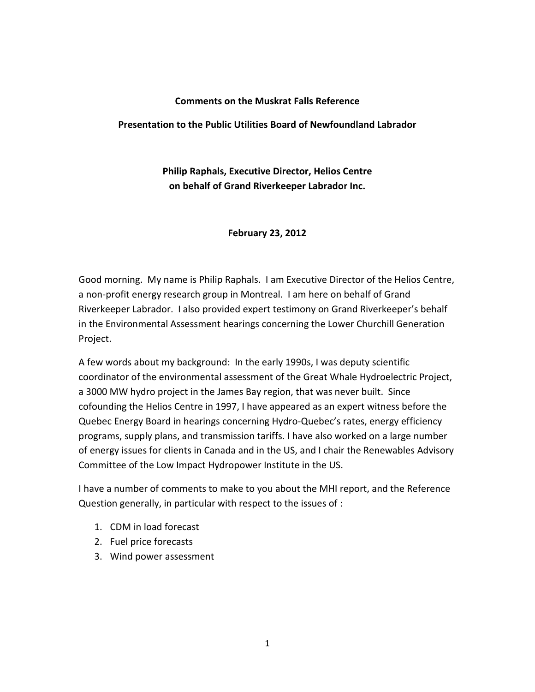#### Comments on the Muskrat Falls Reference

## Presentation to the Public Utilities Board of Newfoundland Labrador

Philip Raphals, Executive Director, Helios Centre on behalf of Grand Riverkeeper Labrador Inc.

## February 23, 2012

Good morning. My name is Philip Raphals. I am Executive Director of the Helios Centre, a non-profit energy research group in Montreal. I am here on behalf of Grand Riverkeeper Labrador. I also provided expert testimony on Grand Riverkeeper's behalf in the Environmental Assessment hearings concerning the Lower Churchill Generation Project.

A few words about my background: In the early 1990s, I was deputy scientific coordinator of the environmental assessment of the Great Whale Hydroelectric Project, a 3000 MW hydro project in the James Bay region, that was never built. Since cofounding the Helios Centre in 1997, I have appeared as an expert witness before the Quebec Energy Board in hearings concerning Hydro-Quebec's rates, energy efficiency programs, supply plans, and transmission tariffs. I have also worked on a large number of energy issues for clients in Canada and in the US, and I chair the Renewables Advisory Committee of the Low Impact Hydropower Institute in the US.

I have a number of comments to make to you about the MHI report, and the Reference Question generally, in particular with respect to the issues of :

- 1. CDM in load forecast
- 2. Fuel price forecasts
- 3. Wind power assessment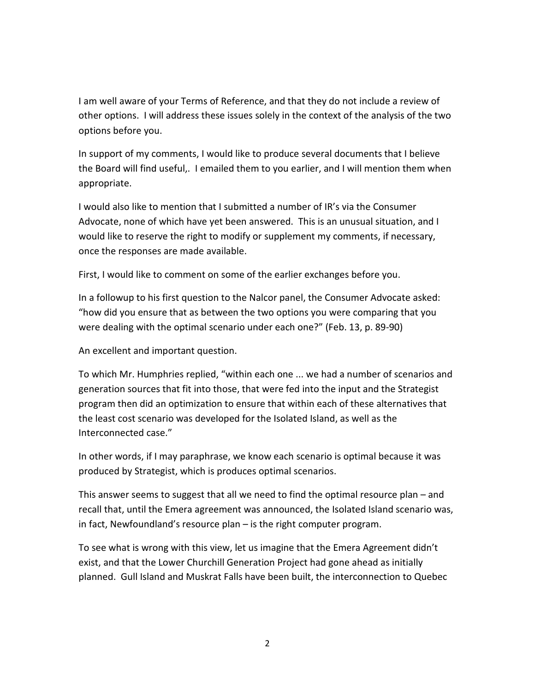I am well aware of your Terms of Reference, and that they do not include a review of other options. I will address these issues solely in the context of the analysis of the two options before you.

In support of my comments, I would like to produce several documents that I believe the Board will find useful,. I emailed them to you earlier, and I will mention them when appropriate.

I would also like to mention that I submitted a number of IR's via the Consumer Advocate, none of which have yet been answered. This is an unusual situation, and I would like to reserve the right to modify or supplement my comments, if necessary, once the responses are made available.

First, I would like to comment on some of the earlier exchanges before you.

In a followup to his first question to the Nalcor panel, the Consumer Advocate asked: "how did you ensure that as between the two options you were comparing that you were dealing with the optimal scenario under each one?" (Feb. 13, p. 89-90)

An excellent and important question.

To which Mr. Humphries replied, "within each one ... we had a number of scenarios and generation sources that fit into those, that were fed into the input and the Strategist program then did an optimization to ensure that within each of these alternatives that the least cost scenario was developed for the Isolated Island, as well as the Interconnected case."

In other words, if I may paraphrase, we know each scenario is optimal because it was produced by Strategist, which is produces optimal scenarios.

This answer seems to suggest that all we need to find the optimal resource plan – and recall that, until the Emera agreement was announced, the Isolated Island scenario was, in fact, Newfoundland's resource plan – is the right computer program.

To see what is wrong with this view, let us imagine that the Emera Agreement didn't exist, and that the Lower Churchill Generation Project had gone ahead as initially planned. Gull Island and Muskrat Falls have been built, the interconnection to Quebec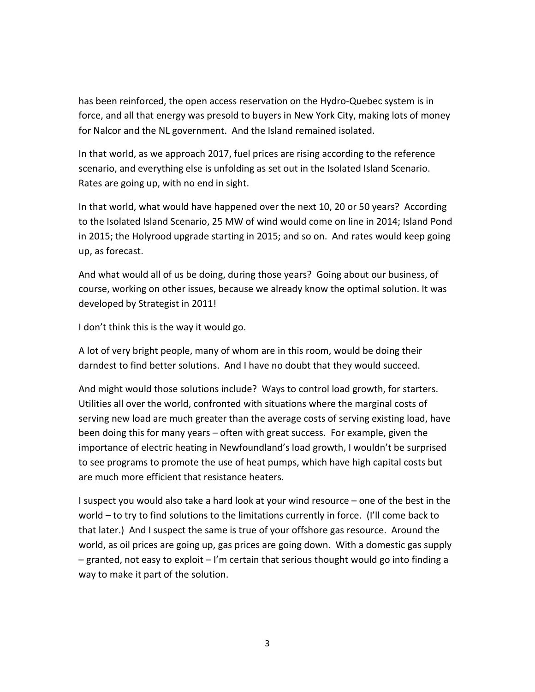has been reinforced, the open access reservation on the Hydro-Quebec system is in force, and all that energy was presold to buyers in New York City, making lots of money for Nalcor and the NL government. And the Island remained isolated.

In that world, as we approach 2017, fuel prices are rising according to the reference scenario, and everything else is unfolding as set out in the Isolated Island Scenario. Rates are going up, with no end in sight.

In that world, what would have happened over the next 10, 20 or 50 years? According to the Isolated Island Scenario, 25 MW of wind would come on line in 2014; Island Pond in 2015; the Holyrood upgrade starting in 2015; and so on. And rates would keep going up, as forecast.

And what would all of us be doing, during those years? Going about our business, of course, working on other issues, because we already know the optimal solution. It was developed by Strategist in 2011!

I don't think this is the way it would go.

A lot of very bright people, many of whom are in this room, would be doing their darndest to find better solutions. And I have no doubt that they would succeed.

And might would those solutions include? Ways to control load growth, for starters. Utilities all over the world, confronted with situations where the marginal costs of serving new load are much greater than the average costs of serving existing load, have been doing this for many years – often with great success. For example, given the importance of electric heating in Newfoundland's load growth, I wouldn't be surprised to see programs to promote the use of heat pumps, which have high capital costs but are much more efficient that resistance heaters.

I suspect you would also take a hard look at your wind resource – one of the best in the world – to try to find solutions to the limitations currently in force. (I'll come back to that later.) And I suspect the same is true of your offshore gas resource. Around the world, as oil prices are going up, gas prices are going down. With a domestic gas supply – granted, not easy to exploit – I'm certain that serious thought would go into finding a way to make it part of the solution.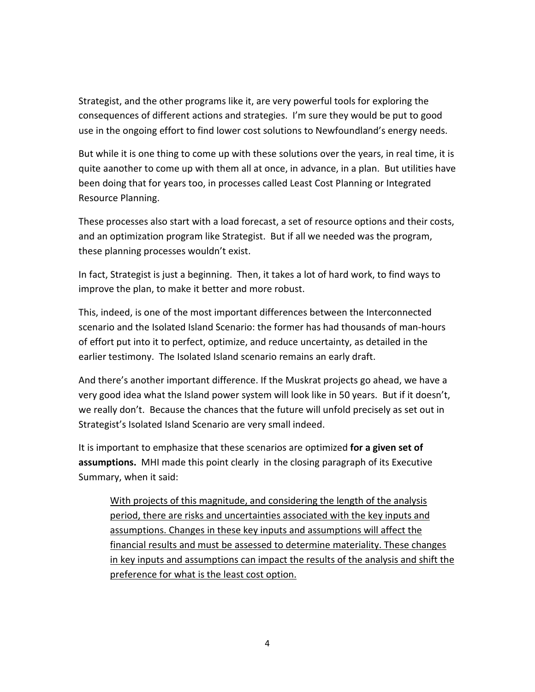Strategist, and the other programs like it, are very powerful tools for exploring the consequences of different actions and strategies. I'm sure they would be put to good use in the ongoing effort to find lower cost solutions to Newfoundland's energy needs.

But while it is one thing to come up with these solutions over the years, in real time, it is quite aanother to come up with them all at once, in advance, in a plan. But utilities have been doing that for years too, in processes called Least Cost Planning or Integrated Resource Planning.

These processes also start with a load forecast, a set of resource options and their costs, and an optimization program like Strategist. But if all we needed was the program, these planning processes wouldn't exist.

In fact, Strategist is just a beginning. Then, it takes a lot of hard work, to find ways to improve the plan, to make it better and more robust.

This, indeed, is one of the most important differences between the Interconnected scenario and the Isolated Island Scenario: the former has had thousands of man-hours of effort put into it to perfect, optimize, and reduce uncertainty, as detailed in the earlier testimony. The Isolated Island scenario remains an early draft.

And there's another important difference. If the Muskrat projects go ahead, we have a very good idea what the Island power system will look like in 50 years. But if it doesn't, we really don't. Because the chances that the future will unfold precisely as set out in Strategist's Isolated Island Scenario are very small indeed.

It is important to emphasize that these scenarios are optimized for a given set of **assumptions.** MHI made this point clearly in the closing paragraph of its Executive Summary, when it said:

With projects of this magnitude, and considering the length of the analysis period, there are risks and uncertainties associated with the key inputs and assumptions. Changes in these key inputs and assumptions will affect the financial results and must be assessed to determine materiality. These changes in key inputs and assumptions can impact the results of the analysis and shift the preference for what is the least cost option.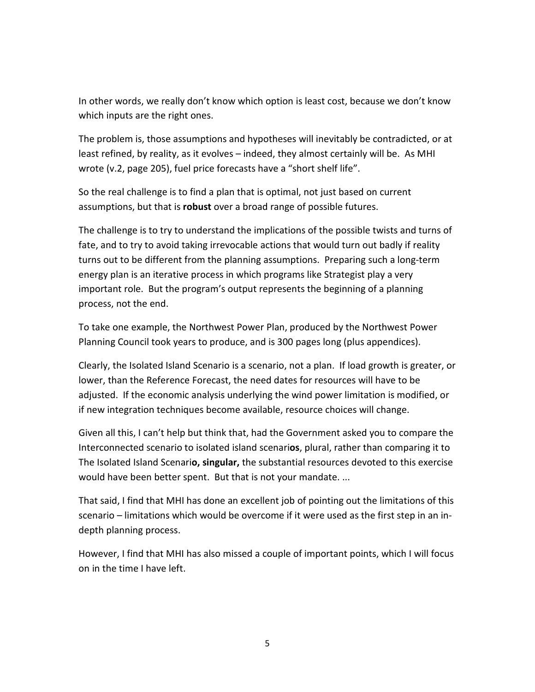In other words, we really don't know which option is least cost, because we don't know which inputs are the right ones.

The problem is, those assumptions and hypotheses will inevitably be contradicted, or at least refined, by reality, as it evolves – indeed, they almost certainly will be. As MHI wrote (v.2, page 205), fuel price forecasts have a "short shelf life".

So the real challenge is to find a plan that is optimal, not just based on current assumptions, but that is **robust** over a broad range of possible futures.

The challenge is to try to understand the implications of the possible twists and turns of fate, and to try to avoid taking irrevocable actions that would turn out badly if reality turns out to be different from the planning assumptions. Preparing such a long-term energy plan is an iterative process in which programs like Strategist play a very important role. But the program's output represents the beginning of a planning process, not the end.

To take one example, the Northwest Power Plan, produced by the Northwest Power Planning Council took years to produce, and is 300 pages long (plus appendices).

Clearly, the Isolated Island Scenario is a scenario, not a plan. If load growth is greater, or lower, than the Reference Forecast, the need dates for resources will have to be adjusted. If the economic analysis underlying the wind power limitation is modified, or if new integration techniques become available, resource choices will change.

Given all this, I can't help but think that, had the Government asked you to compare the Interconnected scenario to isolated island scenarios, plural, rather than comparing it to The Isolated Island Scenario, singular, the substantial resources devoted to this exercise would have been better spent. But that is not your mandate. ...

That said, I find that MHI has done an excellent job of pointing out the limitations of this scenario – limitations which would be overcome if it were used as the first step in an indepth planning process.

However, I find that MHI has also missed a couple of important points, which I will focus on in the time I have left.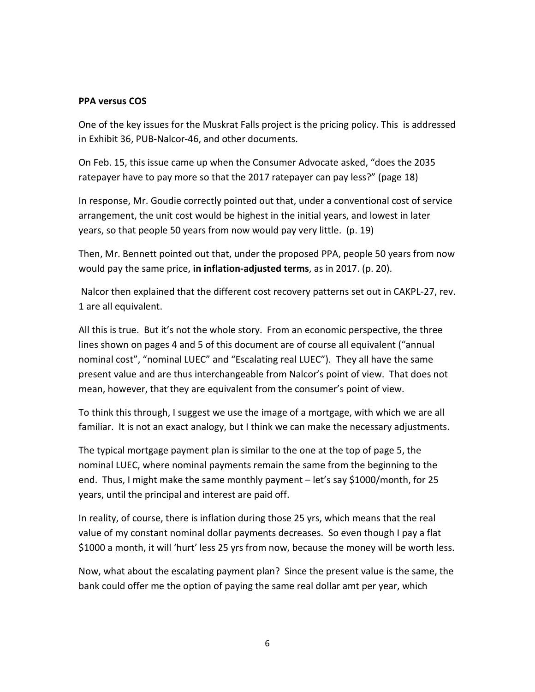### PPA versus COS

One of the key issues for the Muskrat Falls project is the pricing policy. This is addressed in Exhibit 36, PUB-Nalcor-46, and other documents.

On Feb. 15, this issue came up when the Consumer Advocate asked, "does the 2035 ratepayer have to pay more so that the 2017 ratepayer can pay less?" (page 18)

In response, Mr. Goudie correctly pointed out that, under a conventional cost of service arrangement, the unit cost would be highest in the initial years, and lowest in later years, so that people 50 years from now would pay very little. (p. 19)

Then, Mr. Bennett pointed out that, under the proposed PPA, people 50 years from now would pay the same price, in inflation-adjusted terms, as in 2017. (p. 20).

 Nalcor then explained that the different cost recovery patterns set out in CAKPL-27, rev. 1 are all equivalent.

All this is true. But it's not the whole story. From an economic perspective, the three lines shown on pages 4 and 5 of this document are of course all equivalent ("annual nominal cost", "nominal LUEC" and "Escalating real LUEC"). They all have the same present value and are thus interchangeable from Nalcor's point of view. That does not mean, however, that they are equivalent from the consumer's point of view.

To think this through, I suggest we use the image of a mortgage, with which we are all familiar. It is not an exact analogy, but I think we can make the necessary adjustments.

The typical mortgage payment plan is similar to the one at the top of page 5, the nominal LUEC, where nominal payments remain the same from the beginning to the end. Thus, I might make the same monthly payment – let's say \$1000/month, for 25 years, until the principal and interest are paid off.

In reality, of course, there is inflation during those 25 yrs, which means that the real value of my constant nominal dollar payments decreases. So even though I pay a flat \$1000 a month, it will 'hurt' less 25 yrs from now, because the money will be worth less.

Now, what about the escalating payment plan? Since the present value is the same, the bank could offer me the option of paying the same real dollar amt per year, which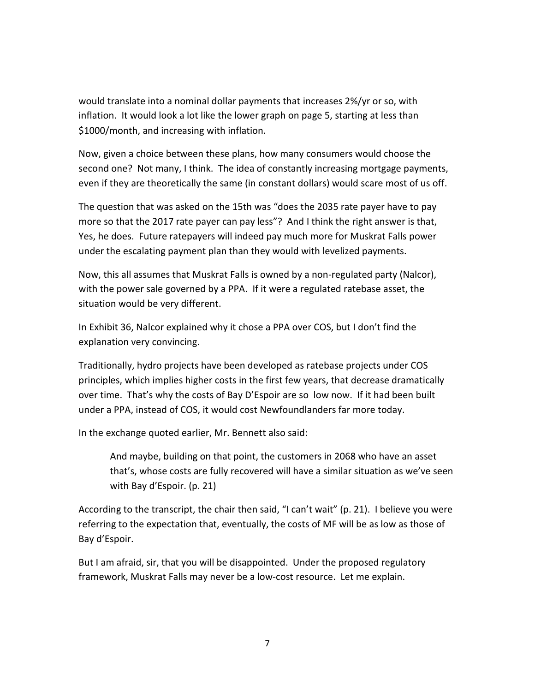would translate into a nominal dollar payments that increases 2%/yr or so, with inflation. It would look a lot like the lower graph on page 5, starting at less than \$1000/month, and increasing with inflation.

Now, given a choice between these plans, how many consumers would choose the second one? Not many, I think. The idea of constantly increasing mortgage payments, even if they are theoretically the same (in constant dollars) would scare most of us off.

The question that was asked on the 15th was "does the 2035 rate payer have to pay more so that the 2017 rate payer can pay less"? And I think the right answer is that, Yes, he does. Future ratepayers will indeed pay much more for Muskrat Falls power under the escalating payment plan than they would with levelized payments.

Now, this all assumes that Muskrat Falls is owned by a non-regulated party (Nalcor), with the power sale governed by a PPA. If it were a regulated ratebase asset, the situation would be very different.

In Exhibit 36, Nalcor explained why it chose a PPA over COS, but I don't find the explanation very convincing.

Traditionally, hydro projects have been developed as ratebase projects under COS principles, which implies higher costs in the first few years, that decrease dramatically over time. That's why the costs of Bay D'Espoir are so low now. If it had been built under a PPA, instead of COS, it would cost Newfoundlanders far more today.

In the exchange quoted earlier, Mr. Bennett also said:

And maybe, building on that point, the customers in 2068 who have an asset that's, whose costs are fully recovered will have a similar situation as we've seen with Bay d'Espoir. (p. 21)

According to the transcript, the chair then said, "I can't wait" (p. 21). I believe you were referring to the expectation that, eventually, the costs of MF will be as low as those of Bay d'Espoir.

But I am afraid, sir, that you will be disappointed. Under the proposed regulatory framework, Muskrat Falls may never be a low-cost resource. Let me explain.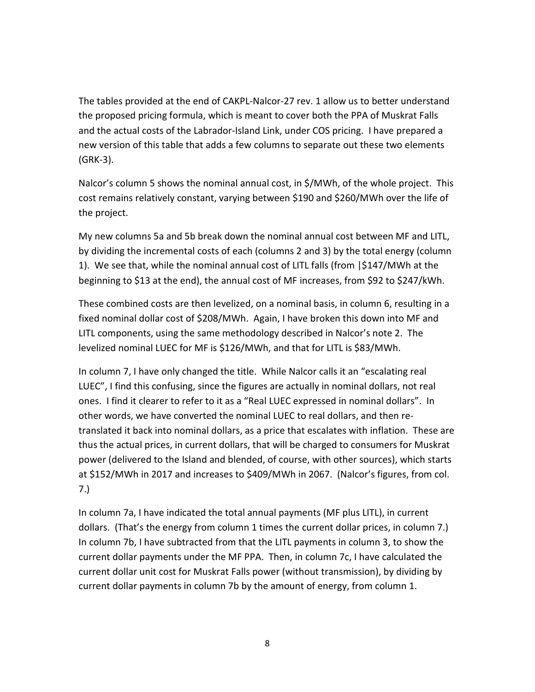The tables provided at the end of CAKPL-Nalcor-27 rev. 1 allow us to better understand the proposed pricing formula, which is meant to cover both the PPA of Muskrat Falls and the actual costs of the Labrador-Island Link, under COS pricing. I have prepared a new version of this table that adds a few columns to separate out these two elements (GRK-3).

Nalcor's column 5 shows the nominal annual cost, in \$/MWh, of the whole project. This cost remains relatively constant, varying between \$190 and \$260/MWh over the life of the project.

My new columns 5a and 5b break down the nominal annual cost between MF and LITL, by dividing the incremental costs of each (columns 2 and 3) by the total energy (column 1). We see that, while the nominal annual cost of LITL falls (from |\$147/MWh at the beginning to \$13 at the end), the annual cost of MF increases, from \$92 to \$247/kWh.

These combined costs are then levelized, on a nominal basis, in column 6, resulting in a fixed nominal dollar cost of \$208/MWh. Again, I have broken this down into MF and LITL components, using the same methodology described in Nalcor's note 2. The levelized nominal LUEC for MF is \$126/MWh, and that for LITL is \$83/MWh.

In column 7, I have only changed the title. While Nalcor calls it an "escalating real LUEC", I find this confusing, since the figures are actually in nominal dollars, not real ones. I find it clearer to refer to it as a "Real LUEC expressed in nominal dollars". In other words, we have converted the nominal LUEC to real dollars, and then retranslated it back into nominal dollars, as a price that escalates with inflation. These are thus the actual prices, in current dollars, that will be charged to consumers for Muskrat power (delivered to the Island and blended, of course, with other sources), which starts at \$152/MWh in 2017 and increases to \$409/MWh in 2067. (Nalcor's figures, from col. 7.)

In column 7a, I have indicated the total annual payments (MF plus LITL), in current dollars. (That's the energy from column 1 times the current dollar prices, in column 7.) In column 7b, I have subtracted from that the LITL payments in column 3, to show the current dollar payments under the MF PPA. Then, in column 7c, I have calculated the current dollar unit cost for Muskrat Falls power (without transmission), by dividing by current dollar payments in column 7b by the amount of energy, from column 1.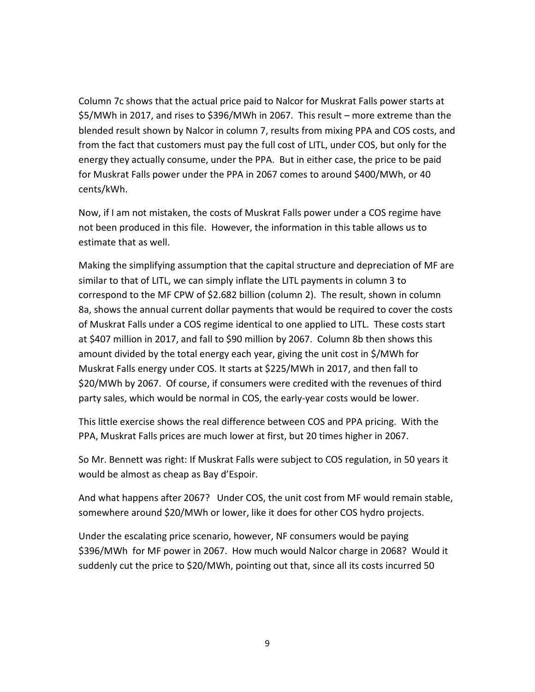Column 7c shows that the actual price paid to Nalcor for Muskrat Falls power starts at \$5/MWh in 2017, and rises to \$396/MWh in 2067. This result – more extreme than the blended result shown by Nalcor in column 7, results from mixing PPA and COS costs, and from the fact that customers must pay the full cost of LITL, under COS, but only for the energy they actually consume, under the PPA. But in either case, the price to be paid for Muskrat Falls power under the PPA in 2067 comes to around \$400/MWh, or 40 cents/kWh.

Now, if I am not mistaken, the costs of Muskrat Falls power under a COS regime have not been produced in this file. However, the information in this table allows us to estimate that as well.

Making the simplifying assumption that the capital structure and depreciation of MF are similar to that of LITL, we can simply inflate the LITL payments in column 3 to correspond to the MF CPW of \$2.682 billion (column 2). The result, shown in column 8a, shows the annual current dollar payments that would be required to cover the costs of Muskrat Falls under a COS regime identical to one applied to LITL. These costs start at \$407 million in 2017, and fall to \$90 million by 2067. Column 8b then shows this amount divided by the total energy each year, giving the unit cost in \$/MWh for Muskrat Falls energy under COS. It starts at \$225/MWh in 2017, and then fall to \$20/MWh by 2067. Of course, if consumers were credited with the revenues of third party sales, which would be normal in COS, the early-year costs would be lower.

This little exercise shows the real difference between COS and PPA pricing. With the PPA, Muskrat Falls prices are much lower at first, but 20 times higher in 2067.

So Mr. Bennett was right: If Muskrat Falls were subject to COS regulation, in 50 years it would be almost as cheap as Bay d'Espoir.

And what happens after 2067? Under COS, the unit cost from MF would remain stable, somewhere around \$20/MWh or lower, like it does for other COS hydro projects.

Under the escalating price scenario, however, NF consumers would be paying \$396/MWh for MF power in 2067. How much would Nalcor charge in 2068? Would it suddenly cut the price to \$20/MWh, pointing out that, since all its costs incurred 50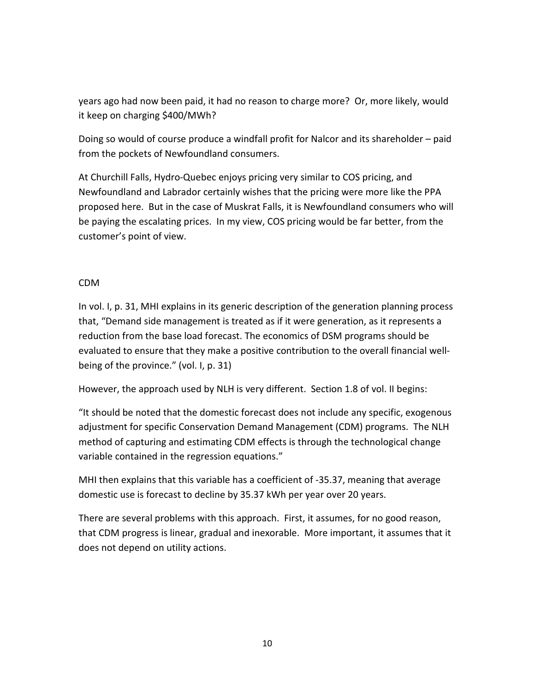years ago had now been paid, it had no reason to charge more? Or, more likely, would it keep on charging \$400/MWh?

Doing so would of course produce a windfall profit for Nalcor and its shareholder – paid from the pockets of Newfoundland consumers.

At Churchill Falls, Hydro-Quebec enjoys pricing very similar to COS pricing, and Newfoundland and Labrador certainly wishes that the pricing were more like the PPA proposed here. But in the case of Muskrat Falls, it is Newfoundland consumers who will be paying the escalating prices. In my view, COS pricing would be far better, from the customer's point of view.

# CDM

In vol. I, p. 31, MHI explains in its generic description of the generation planning process that, "Demand side management is treated as if it were generation, as it represents a reduction from the base load forecast. The economics of DSM programs should be evaluated to ensure that they make a positive contribution to the overall financial wellbeing of the province." (vol. I, p. 31)

However, the approach used by NLH is very different. Section 1.8 of vol. II begins:

"It should be noted that the domestic forecast does not include any specific, exogenous adjustment for specific Conservation Demand Management (CDM) programs. The NLH method of capturing and estimating CDM effects is through the technological change variable contained in the regression equations."

MHI then explains that this variable has a coefficient of -35.37, meaning that average domestic use is forecast to decline by 35.37 kWh per year over 20 years.

There are several problems with this approach. First, it assumes, for no good reason, that CDM progress is linear, gradual and inexorable. More important, it assumes that it does not depend on utility actions.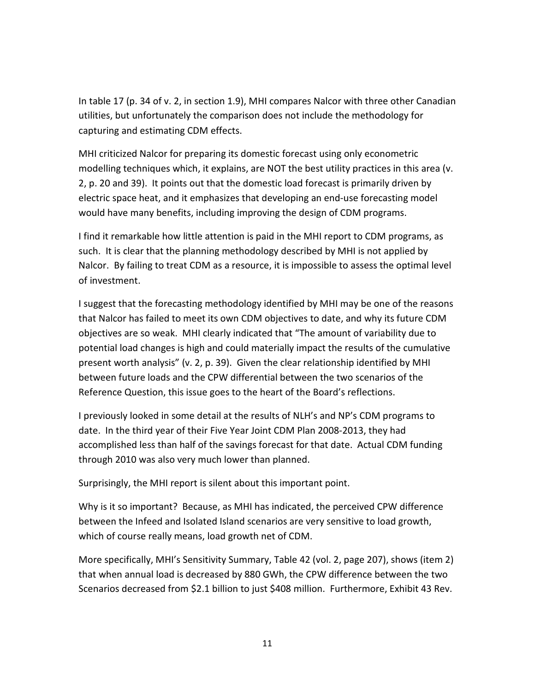In table 17 (p. 34 of v. 2, in section 1.9), MHI compares Nalcor with three other Canadian utilities, but unfortunately the comparison does not include the methodology for capturing and estimating CDM effects.

MHI criticized Nalcor for preparing its domestic forecast using only econometric modelling techniques which, it explains, are NOT the best utility practices in this area (v. 2, p. 20 and 39). It points out that the domestic load forecast is primarily driven by electric space heat, and it emphasizes that developing an end-use forecasting model would have many benefits, including improving the design of CDM programs.

I find it remarkable how little attention is paid in the MHI report to CDM programs, as such. It is clear that the planning methodology described by MHI is not applied by Nalcor. By failing to treat CDM as a resource, it is impossible to assess the optimal level of investment.

I suggest that the forecasting methodology identified by MHI may be one of the reasons that Nalcor has failed to meet its own CDM objectives to date, and why its future CDM objectives are so weak. MHI clearly indicated that "The amount of variability due to potential load changes is high and could materially impact the results of the cumulative present worth analysis" (v. 2, p. 39). Given the clear relationship identified by MHI between future loads and the CPW differential between the two scenarios of the Reference Question, this issue goes to the heart of the Board's reflections.

I previously looked in some detail at the results of NLH's and NP's CDM programs to date. In the third year of their Five Year Joint CDM Plan 2008-2013, they had accomplished less than half of the savings forecast for that date. Actual CDM funding through 2010 was also very much lower than planned.

Surprisingly, the MHI report is silent about this important point.

Why is it so important? Because, as MHI has indicated, the perceived CPW difference between the Infeed and Isolated Island scenarios are very sensitive to load growth, which of course really means, load growth net of CDM.

More specifically, MHI's Sensitivity Summary, Table 42 (vol. 2, page 207), shows (item 2) that when annual load is decreased by 880 GWh, the CPW difference between the two Scenarios decreased from \$2.1 billion to just \$408 million. Furthermore, Exhibit 43 Rev.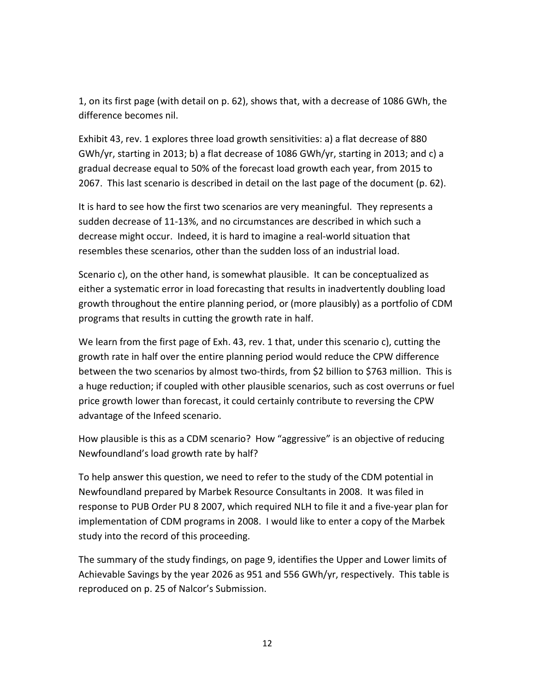1, on its first page (with detail on p. 62), shows that, with a decrease of 1086 GWh, the difference becomes nil.

Exhibit 43, rev. 1 explores three load growth sensitivities: a) a flat decrease of 880 GWh/yr, starting in 2013; b) a flat decrease of 1086 GWh/yr, starting in 2013; and c) a gradual decrease equal to 50% of the forecast load growth each year, from 2015 to 2067. This last scenario is described in detail on the last page of the document (p. 62).

It is hard to see how the first two scenarios are very meaningful. They represents a sudden decrease of 11-13%, and no circumstances are described in which such a decrease might occur. Indeed, it is hard to imagine a real-world situation that resembles these scenarios, other than the sudden loss of an industrial load.

Scenario c), on the other hand, is somewhat plausible. It can be conceptualized as either a systematic error in load forecasting that results in inadvertently doubling load growth throughout the entire planning period, or (more plausibly) as a portfolio of CDM programs that results in cutting the growth rate in half.

We learn from the first page of Exh. 43, rev. 1 that, under this scenario c), cutting the growth rate in half over the entire planning period would reduce the CPW difference between the two scenarios by almost two-thirds, from \$2 billion to \$763 million. This is a huge reduction; if coupled with other plausible scenarios, such as cost overruns or fuel price growth lower than forecast, it could certainly contribute to reversing the CPW advantage of the Infeed scenario.

How plausible is this as a CDM scenario? How "aggressive" is an objective of reducing Newfoundland's load growth rate by half?

To help answer this question, we need to refer to the study of the CDM potential in Newfoundland prepared by Marbek Resource Consultants in 2008. It was filed in response to PUB Order PU 8 2007, which required NLH to file it and a five-year plan for implementation of CDM programs in 2008. I would like to enter a copy of the Marbek study into the record of this proceeding.

The summary of the study findings, on page 9, identifies the Upper and Lower limits of Achievable Savings by the year 2026 as 951 and 556 GWh/yr, respectively. This table is reproduced on p. 25 of Nalcor's Submission.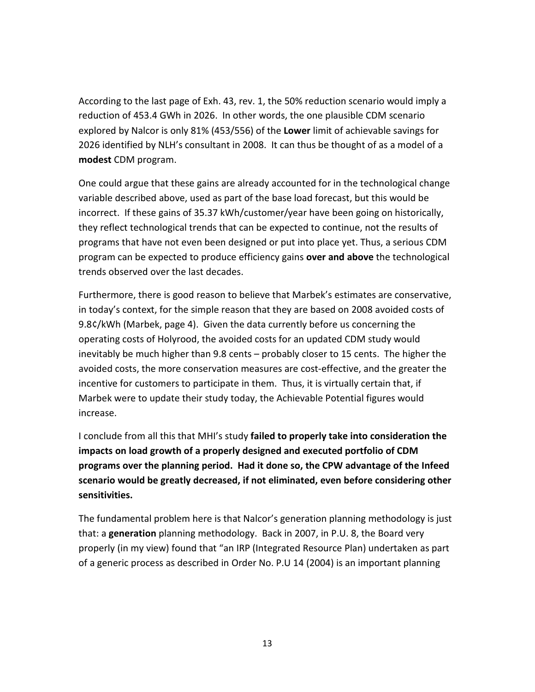According to the last page of Exh. 43, rev. 1, the 50% reduction scenario would imply a reduction of 453.4 GWh in 2026. In other words, the one plausible CDM scenario explored by Nalcor is only 81% (453/556) of the Lower limit of achievable savings for 2026 identified by NLH's consultant in 2008. It can thus be thought of as a model of a modest CDM program.

One could argue that these gains are already accounted for in the technological change variable described above, used as part of the base load forecast, but this would be incorrect. If these gains of 35.37 kWh/customer/year have been going on historically, they reflect technological trends that can be expected to continue, not the results of programs that have not even been designed or put into place yet. Thus, a serious CDM program can be expected to produce efficiency gains over and above the technological trends observed over the last decades.

Furthermore, there is good reason to believe that Marbek's estimates are conservative, in today's context, for the simple reason that they are based on 2008 avoided costs of 9.8¢/kWh (Marbek, page 4). Given the data currently before us concerning the operating costs of Holyrood, the avoided costs for an updated CDM study would inevitably be much higher than 9.8 cents – probably closer to 15 cents. The higher the avoided costs, the more conservation measures are cost-effective, and the greater the incentive for customers to participate in them. Thus, it is virtually certain that, if Marbek were to update their study today, the Achievable Potential figures would increase.

I conclude from all this that MHI's study failed to properly take into consideration the impacts on load growth of a properly designed and executed portfolio of CDM programs over the planning period. Had it done so, the CPW advantage of the Infeed scenario would be greatly decreased, if not eliminated, even before considering other sensitivities.

The fundamental problem here is that Nalcor's generation planning methodology is just that: a generation planning methodology. Back in 2007, in P.U. 8, the Board very properly (in my view) found that "an IRP (Integrated Resource Plan) undertaken as part of a generic process as described in Order No. P.U 14 (2004) is an important planning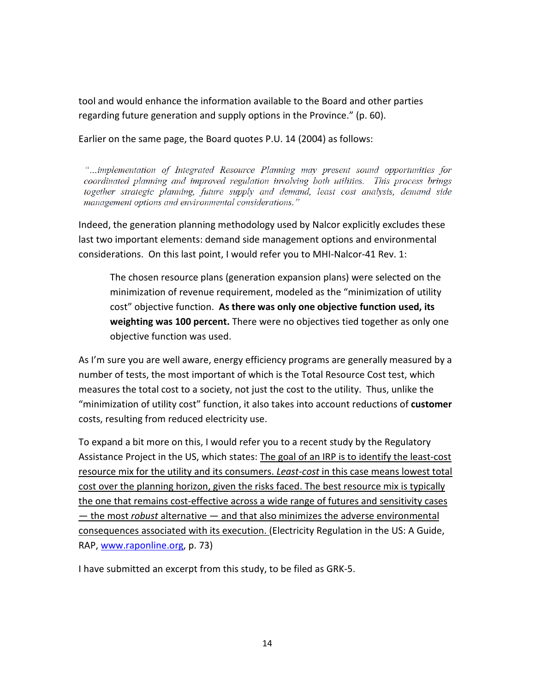tool and would enhance the information available to the Board and other parties regarding future generation and supply options in the Province." (p. 60).

Earlier on the same page, the Board quotes P.U. 14 (2004) as follows:

"...implementation of Integrated Resource Planning may present sound opportunities for coordinated planning and improved regulation involving both utilities. This process brings together strategic planning, future supply and demand, least cost analysis, demand side management options and environmental considerations."

Indeed, the generation planning methodology used by Nalcor explicitly excludes these last two important elements: demand side management options and environmental considerations. On this last point, I would refer you to MHI-Nalcor-41 Rev. 1:

The chosen resource plans (generation expansion plans) were selected on the minimization of revenue requirement, modeled as the "minimization of utility cost" objective function. As there was only one objective function used, its weighting was 100 percent. There were no objectives tied together as only one objective function was used.

As I'm sure you are well aware, energy efficiency programs are generally measured by a number of tests, the most important of which is the Total Resource Cost test, which measures the total cost to a society, not just the cost to the utility. Thus, unlike the "minimization of utility cost" function, it also takes into account reductions of customer costs, resulting from reduced electricity use.

To expand a bit more on this, I would refer you to a recent study by the Regulatory Assistance Project in the US, which states: The goal of an IRP is to identify the least-cost resource mix for the utility and its consumers. Least-cost in this case means lowest total cost over the planning horizon, given the risks faced. The best resource mix is typically the one that remains cost-effective across a wide range of futures and sensitivity cases — the most *robust* alternative — and that also minimizes the adverse environmental consequences associated with its execution. (Electricity Regulation in the US: A Guide, RAP, www.raponline.org, p. 73)

I have submitted an excerpt from this study, to be filed as GRK-5.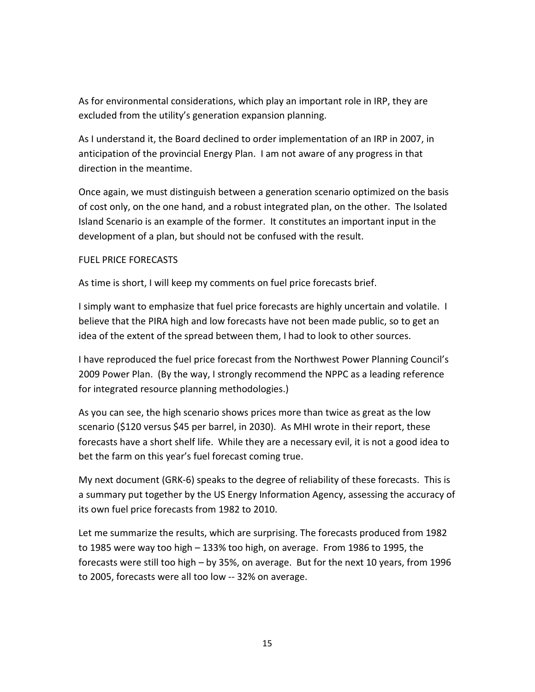As for environmental considerations, which play an important role in IRP, they are excluded from the utility's generation expansion planning.

As I understand it, the Board declined to order implementation of an IRP in 2007, in anticipation of the provincial Energy Plan. I am not aware of any progress in that direction in the meantime.

Once again, we must distinguish between a generation scenario optimized on the basis of cost only, on the one hand, and a robust integrated plan, on the other. The Isolated Island Scenario is an example of the former. It constitutes an important input in the development of a plan, but should not be confused with the result.

## FUEL PRICE FORECASTS

As time is short, I will keep my comments on fuel price forecasts brief.

I simply want to emphasize that fuel price forecasts are highly uncertain and volatile. I believe that the PIRA high and low forecasts have not been made public, so to get an idea of the extent of the spread between them, I had to look to other sources.

I have reproduced the fuel price forecast from the Northwest Power Planning Council's 2009 Power Plan. (By the way, I strongly recommend the NPPC as a leading reference for integrated resource planning methodologies.)

As you can see, the high scenario shows prices more than twice as great as the low scenario (\$120 versus \$45 per barrel, in 2030). As MHI wrote in their report, these forecasts have a short shelf life. While they are a necessary evil, it is not a good idea to bet the farm on this year's fuel forecast coming true.

My next document (GRK-6) speaks to the degree of reliability of these forecasts. This is a summary put together by the US Energy Information Agency, assessing the accuracy of its own fuel price forecasts from 1982 to 2010.

Let me summarize the results, which are surprising. The forecasts produced from 1982 to 1985 were way too high – 133% too high, on average. From 1986 to 1995, the forecasts were still too high – by 35%, on average. But for the next 10 years, from 1996 to 2005, forecasts were all too low -- 32% on average.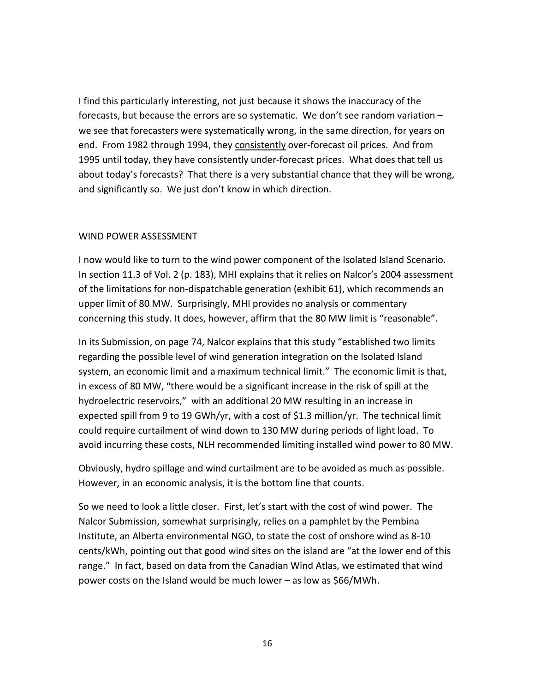I find this particularly interesting, not just because it shows the inaccuracy of the forecasts, but because the errors are so systematic. We don't see random variation – we see that forecasters were systematically wrong, in the same direction, for years on end. From 1982 through 1994, they consistently over-forecast oil prices. And from 1995 until today, they have consistently under-forecast prices. What does that tell us about today's forecasts? That there is a very substantial chance that they will be wrong, and significantly so. We just don't know in which direction.

#### WIND POWER ASSESSMENT

I now would like to turn to the wind power component of the Isolated Island Scenario. In section 11.3 of Vol. 2 (p. 183), MHI explains that it relies on Nalcor's 2004 assessment of the limitations for non-dispatchable generation (exhibit 61), which recommends an upper limit of 80 MW. Surprisingly, MHI provides no analysis or commentary concerning this study. It does, however, affirm that the 80 MW limit is "reasonable".

In its Submission, on page 74, Nalcor explains that this study "established two limits regarding the possible level of wind generation integration on the Isolated Island system, an economic limit and a maximum technical limit." The economic limit is that, in excess of 80 MW, "there would be a significant increase in the risk of spill at the hydroelectric reservoirs," with an additional 20 MW resulting in an increase in expected spill from 9 to 19 GWh/yr, with a cost of \$1.3 million/yr. The technical limit could require curtailment of wind down to 130 MW during periods of light load. To avoid incurring these costs, NLH recommended limiting installed wind power to 80 MW.

Obviously, hydro spillage and wind curtailment are to be avoided as much as possible. However, in an economic analysis, it is the bottom line that counts.

So we need to look a little closer. First, let's start with the cost of wind power. The Nalcor Submission, somewhat surprisingly, relies on a pamphlet by the Pembina Institute, an Alberta environmental NGO, to state the cost of onshore wind as 8-10 cents/kWh, pointing out that good wind sites on the island are "at the lower end of this range." In fact, based on data from the Canadian Wind Atlas, we estimated that wind power costs on the Island would be much lower – as low as \$66/MWh.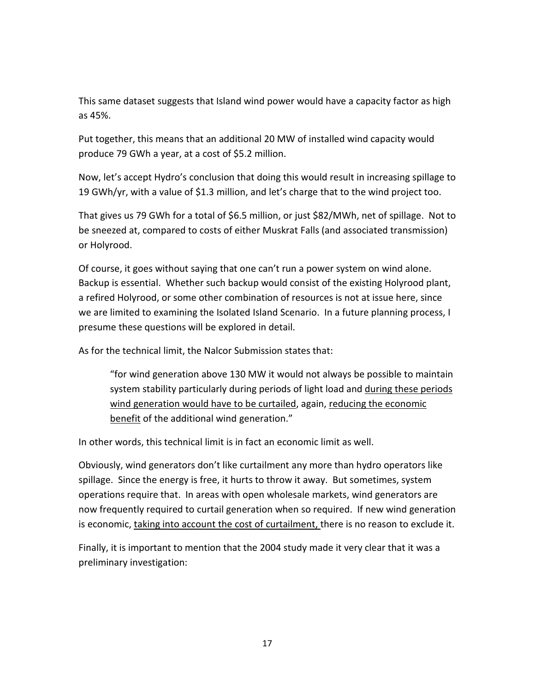This same dataset suggests that Island wind power would have a capacity factor as high as 45%.

Put together, this means that an additional 20 MW of installed wind capacity would produce 79 GWh a year, at a cost of \$5.2 million.

Now, let's accept Hydro's conclusion that doing this would result in increasing spillage to 19 GWh/yr, with a value of \$1.3 million, and let's charge that to the wind project too.

That gives us 79 GWh for a total of \$6.5 million, or just \$82/MWh, net of spillage. Not to be sneezed at, compared to costs of either Muskrat Falls (and associated transmission) or Holyrood.

Of course, it goes without saying that one can't run a power system on wind alone. Backup is essential. Whether such backup would consist of the existing Holyrood plant, a refired Holyrood, or some other combination of resources is not at issue here, since we are limited to examining the Isolated Island Scenario. In a future planning process, I presume these questions will be explored in detail.

As for the technical limit, the Nalcor Submission states that:

"for wind generation above 130 MW it would not always be possible to maintain system stability particularly during periods of light load and during these periods wind generation would have to be curtailed, again, reducing the economic benefit of the additional wind generation."

In other words, this technical limit is in fact an economic limit as well.

Obviously, wind generators don't like curtailment any more than hydro operators like spillage. Since the energy is free, it hurts to throw it away. But sometimes, system operations require that. In areas with open wholesale markets, wind generators are now frequently required to curtail generation when so required. If new wind generation is economic, taking into account the cost of curtailment, there is no reason to exclude it.

Finally, it is important to mention that the 2004 study made it very clear that it was a preliminary investigation: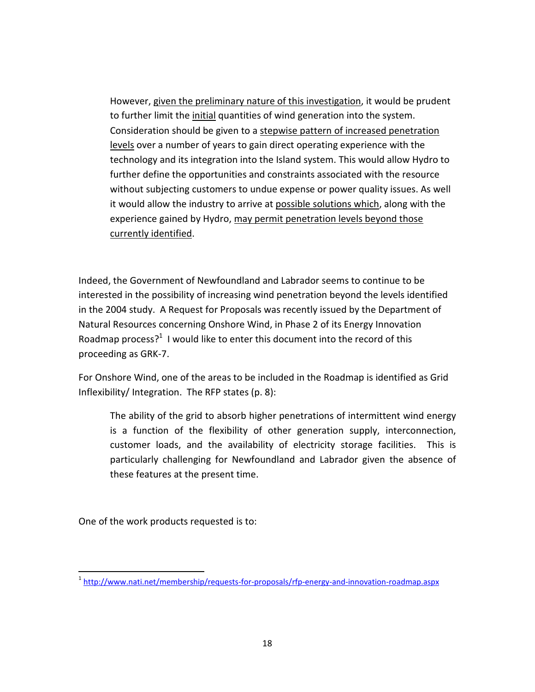However, given the preliminary nature of this investigation, it would be prudent to further limit the initial quantities of wind generation into the system. Consideration should be given to a stepwise pattern of increased penetration levels over a number of years to gain direct operating experience with the technology and its integration into the Island system. This would allow Hydro to further define the opportunities and constraints associated with the resource without subjecting customers to undue expense or power quality issues. As well it would allow the industry to arrive at possible solutions which, along with the experience gained by Hydro, may permit penetration levels beyond those currently identified.

Indeed, the Government of Newfoundland and Labrador seems to continue to be interested in the possibility of increasing wind penetration beyond the levels identified in the 2004 study. A Request for Proposals was recently issued by the Department of Natural Resources concerning Onshore Wind, in Phase 2 of its Energy Innovation Roadmap process?<sup>1</sup> I would like to enter this document into the record of this proceeding as GRK-7.

For Onshore Wind, one of the areas to be included in the Roadmap is identified as Grid Inflexibility/ Integration. The RFP states (p. 8):

The ability of the grid to absorb higher penetrations of intermittent wind energy is a function of the flexibility of other generation supply, interconnection, customer loads, and the availability of electricity storage facilities. This is particularly challenging for Newfoundland and Labrador given the absence of these features at the present time.

One of the work products requested is to:

l <sup>1</sup>http://www.nati.net/membership/requests-for-proposals/rfp-energy-and-innovation-roadmap.aspx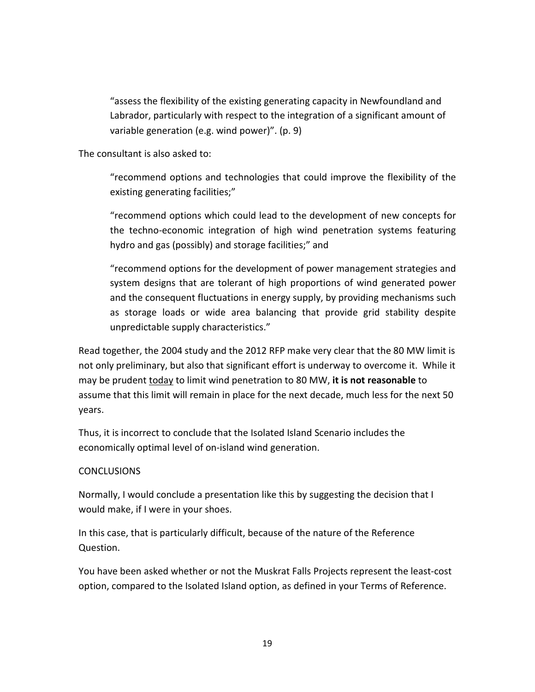"assess the flexibility of the existing generating capacity in Newfoundland and Labrador, particularly with respect to the integration of a significant amount of variable generation (e.g. wind power)". (p. 9)

The consultant is also asked to:

"recommend options and technologies that could improve the flexibility of the existing generating facilities;"

"recommend options which could lead to the development of new concepts for the techno-economic integration of high wind penetration systems featuring hydro and gas (possibly) and storage facilities;" and

"recommend options for the development of power management strategies and system designs that are tolerant of high proportions of wind generated power and the consequent fluctuations in energy supply, by providing mechanisms such as storage loads or wide area balancing that provide grid stability despite unpredictable supply characteristics."

Read together, the 2004 study and the 2012 RFP make very clear that the 80 MW limit is not only preliminary, but also that significant effort is underway to overcome it. While it may be prudent today to limit wind penetration to 80 MW, it is not reasonable to assume that this limit will remain in place for the next decade, much less for the next 50 years.

Thus, it is incorrect to conclude that the Isolated Island Scenario includes the economically optimal level of on-island wind generation.

# CONCLUSIONS

Normally, I would conclude a presentation like this by suggesting the decision that I would make, if I were in your shoes.

In this case, that is particularly difficult, because of the nature of the Reference Question.

You have been asked whether or not the Muskrat Falls Projects represent the least-cost option, compared to the Isolated Island option, as defined in your Terms of Reference.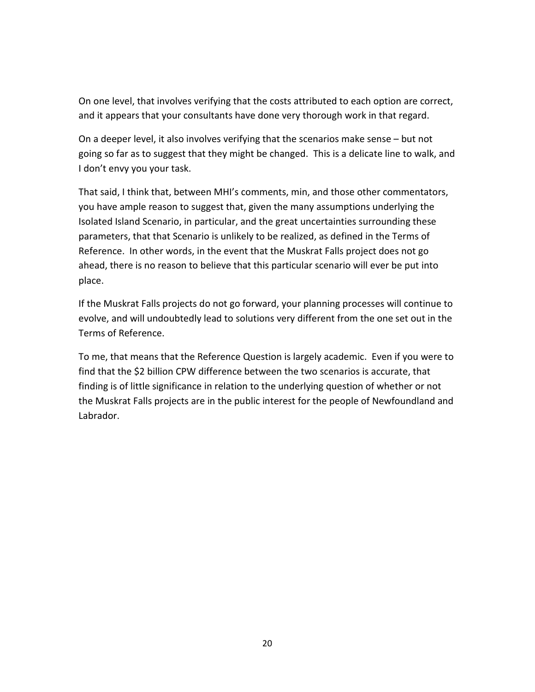On one level, that involves verifying that the costs attributed to each option are correct, and it appears that your consultants have done very thorough work in that regard.

On a deeper level, it also involves verifying that the scenarios make sense – but not going so far as to suggest that they might be changed. This is a delicate line to walk, and I don't envy you your task.

That said, I think that, between MHI's comments, min, and those other commentators, you have ample reason to suggest that, given the many assumptions underlying the Isolated Island Scenario, in particular, and the great uncertainties surrounding these parameters, that that Scenario is unlikely to be realized, as defined in the Terms of Reference. In other words, in the event that the Muskrat Falls project does not go ahead, there is no reason to believe that this particular scenario will ever be put into place.

If the Muskrat Falls projects do not go forward, your planning processes will continue to evolve, and will undoubtedly lead to solutions very different from the one set out in the Terms of Reference.

To me, that means that the Reference Question is largely academic. Even if you were to find that the \$2 billion CPW difference between the two scenarios is accurate, that finding is of little significance in relation to the underlying question of whether or not the Muskrat Falls projects are in the public interest for the people of Newfoundland and Labrador.